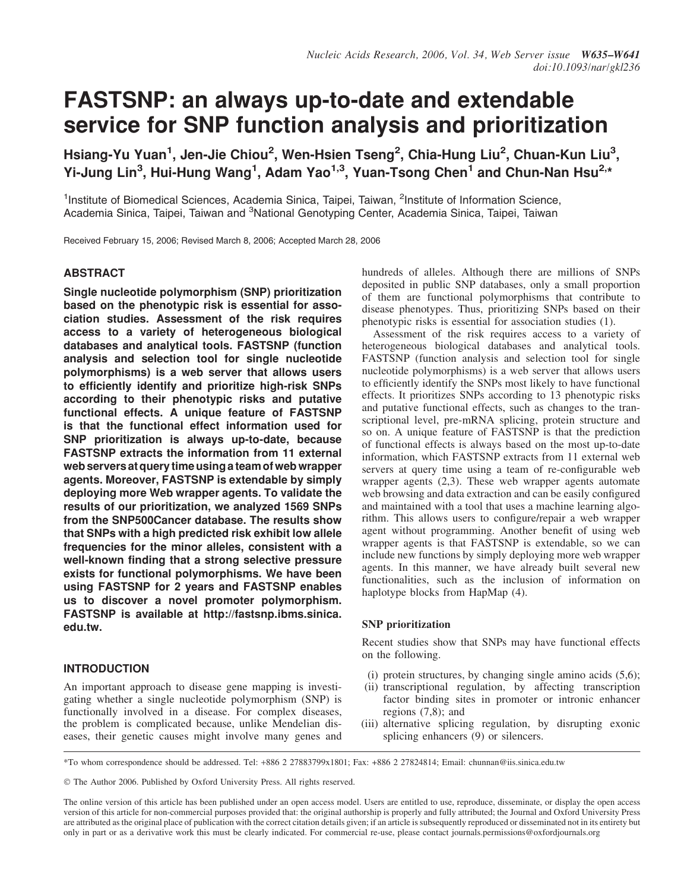# FASTSNP: an always up-to-date and extendable service for SNP function analysis and prioritization

Hsiang-Yu Yuan<sup>1</sup>, Jen-Jie Chiou<sup>2</sup>, Wen-Hsien Tseng<sup>2</sup>, Chia-Hung Liu<sup>2</sup>, Chuan-Kun Liu<sup>3</sup>, Yi-Jung Lin<sup>3</sup>, Hui-Hung Wang<sup>1</sup>, Adam Yao<sup>1,3</sup>, Yuan-Tsong Chen<sup>1</sup> and Chun-Nan Hsu<sup>2,</sup>\*

<sup>1</sup>Institute of Biomedical Sciences, Academia Sinica, Taipei, Taiwan, <sup>2</sup>Institute of Information Science, Academia Sinica, Taipei, Taiwan and <sup>3</sup>National Genotyping Center, Academia Sinica, Taipei, Taiwan

Received February 15, 2006; Revised March 8, 2006; Accepted March 28, 2006

## ABSTRACT

INTRODUCTION

Single nucleotide polymorphism (SNP) prioritization based on the phenotypic risk is essential for association studies. Assessment of the risk requires access to a variety of heterogeneous biological databases and analytical tools. FASTSNP (function analysis and selection tool for single nucleotide polymorphisms) is a web server that allows users to efficiently identify and prioritize high-risk SNPs according to their phenotypic risks and putative functional effects. A unique feature of FASTSNP is that the functional effect information used for SNP prioritization is always up-to-date, because FASTSNP extracts the information from 11 external web servers at query time using a team of web wrapper agents. Moreover, FASTSNP is extendable by simply deploying more Web wrapper agents. To validate the results of our prioritization, we analyzed 1569 SNPs from the SNP500Cancer database. The results show that SNPs with a high predicted risk exhibit low allele frequencies for the minor alleles, consistent with a well-known finding that a strong selective pressure exists for functional polymorphisms. We have been using FASTSNP for 2 years and FASTSNP enables us to discover a novel promoter polymorphism. FASTSNP is available at http://fastsnp.ibms.sinica. edu.tw.

## hundreds of alleles. Although there are millions of SNPs deposited in public SNP databases, only a small proportion of them are functional polymorphisms that contribute to disease phenotypes. Thus, prioritizing SNPs based on their phenotypic risks is essential for association studies (1).

Assessment of the risk requires access to a variety of heterogeneous biological databases and analytical tools. FASTSNP (function analysis and selection tool for single nucleotide polymorphisms) is a web server that allows users to efficiently identify the SNPs most likely to have functional effects. It prioritizes SNPs according to 13 phenotypic risks and putative functional effects, such as changes to the transcriptional level, pre-mRNA splicing, protein structure and so on. A unique feature of FASTSNP is that the prediction of functional effects is always based on the most up-to-date information, which FASTSNP extracts from 11 external web servers at query time using a team of re-configurable web wrapper agents (2,3). These web wrapper agents automate web browsing and data extraction and can be easily configured and maintained with a tool that uses a machine learning algorithm. This allows users to configure/repair a web wrapper agent without programming. Another benefit of using web wrapper agents is that FASTSNP is extendable, so we can include new functions by simply deploying more web wrapper agents. In this manner, we have already built several new functionalities, such as the inclusion of information on haplotype blocks from HapMap (4).

#### SNP prioritization

Recent studies show that SNPs may have functional effects on the following.

- (i) protein structures, by changing single amino acids  $(5,6)$ ;
- (ii) transcriptional regulation, by affecting transcription factor binding sites in promoter or intronic enhancer regions (7,8); and
- (iii) alternative splicing regulation, by disrupting exonic splicing enhancers (9) or silencers.

An important approach to disease gene mapping is investigating whether a single nucleotide polymorphism (SNP) is functionally involved in a disease. For complex diseases, the problem is complicated because, unlike Mendelian diseases, their genetic causes might involve many genes and

<sup>\*</sup>To whom correspondence should be addressed. Tel: +886 2 27883799x1801; Fax: +886 2 27824814; Email: chunnan@iis.sinica.edu.tw

<sup>-</sup> The Author 2006. Published by Oxford University Press. All rights reserved.

The online version of this article has been published under an open access model. Users are entitled to use, reproduce, disseminate, or display the open access version of this article for non-commercial purposes provided that: the original authorship is properly and fully attributed; the Journal and Oxford University Press are attributed as the original place of publication with the correct citation details given; if an article is subsequently reproduced or disseminated not in its entirety but only in part or as a derivative work this must be clearly indicated. For commercial re-use, please contact journals.permissions@oxfordjournals.org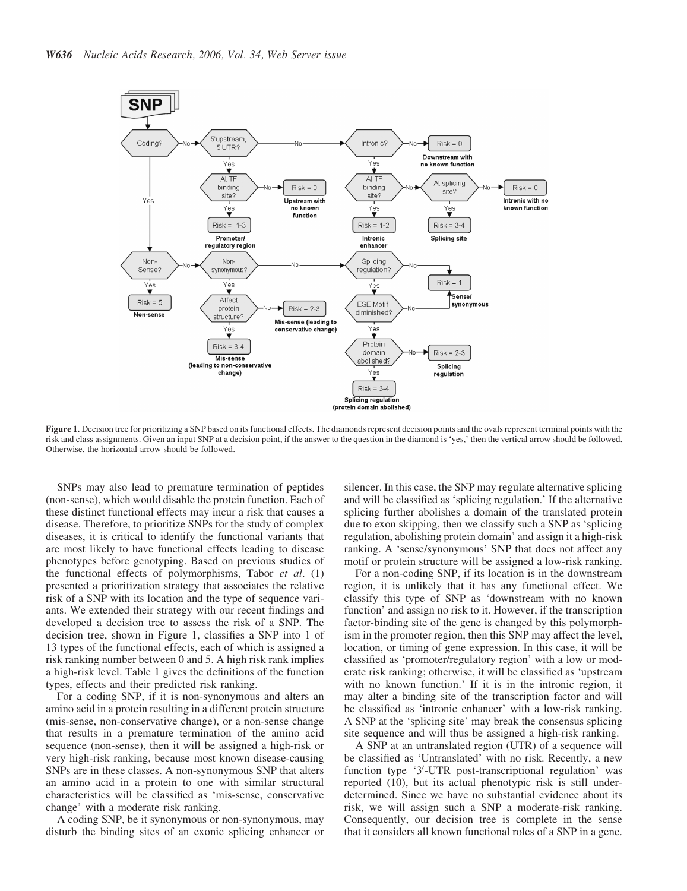

Figure 1. Decision tree for prioritizing a SNP based on its functional effects. The diamonds represent decision points and the ovals represent terminal points with the risk and class assignments. Given an input SNP at a decision point, if the answer to the question in the diamond is 'yes,' then the vertical arrow should be followed. Otherwise, the horizontal arrow should be followed.

SNPs may also lead to premature termination of peptides (non-sense), which would disable the protein function. Each of these distinct functional effects may incur a risk that causes a disease. Therefore, to prioritize SNPs for the study of complex diseases, it is critical to identify the functional variants that are most likely to have functional effects leading to disease phenotypes before genotyping. Based on previous studies of the functional effects of polymorphisms, Tabor  $et$   $al.$  (1) presented a prioritization strategy that associates the relative risk of a SNP with its location and the type of sequence variants. We extended their strategy with our recent findings and developed a decision tree to assess the risk of a SNP. The decision tree, shown in Figure 1, classifies a SNP into 1 of 13 types of the functional effects, each of which is assigned a risk ranking number between 0 and 5. A high risk rank implies a high-risk level. Table 1 gives the definitions of the function types, effects and their predicted risk ranking.

For a coding SNP, if it is non-synonymous and alters an amino acid in a protein resulting in a different protein structure (mis-sense, non-conservative change), or a non-sense change that results in a premature termination of the amino acid sequence (non-sense), then it will be assigned a high-risk or very high-risk ranking, because most known disease-causing SNPs are in these classes. A non-synonymous SNP that alters an amino acid in a protein to one with similar structural characteristics will be classified as 'mis-sense, conservative change' with a moderate risk ranking.

A coding SNP, be it synonymous or non-synonymous, may disturb the binding sites of an exonic splicing enhancer or silencer. In this case, the SNP may regulate alternative splicing and will be classified as 'splicing regulation.' If the alternative splicing further abolishes a domain of the translated protein due to exon skipping, then we classify such a SNP as 'splicing regulation, abolishing protein domain' and assign it a high-risk ranking. A 'sense/synonymous' SNP that does not affect any motif or protein structure will be assigned a low-risk ranking.

For a non-coding SNP, if its location is in the downstream region, it is unlikely that it has any functional effect. We classify this type of SNP as 'downstream with no known function' and assign no risk to it. However, if the transcription factor-binding site of the gene is changed by this polymorphism in the promoter region, then this SNP may affect the level, location, or timing of gene expression. In this case, it will be classified as 'promoter/regulatory region' with a low or moderate risk ranking; otherwise, it will be classified as 'upstream with no known function.' If it is in the intronic region, it may alter a binding site of the transcription factor and will be classified as 'intronic enhancer' with a low-risk ranking. A SNP at the 'splicing site' may break the consensus splicing site sequence and will thus be assigned a high-risk ranking.

A SNP at an untranslated region (UTR) of a sequence will be classified as 'Untranslated' with no risk. Recently, a new function type '3'-UTR post-transcriptional regulation' was reported (10), but its actual phenotypic risk is still underdetermined. Since we have no substantial evidence about its risk, we will assign such a SNP a moderate-risk ranking. Consequently, our decision tree is complete in the sense that it considers all known functional roles of a SNP in a gene.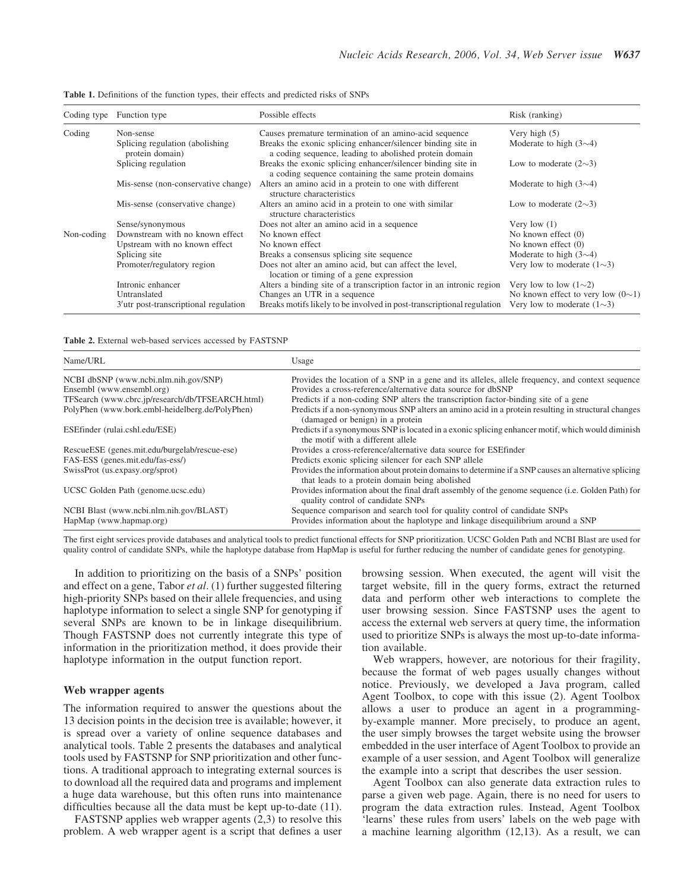|  | <b>Table 1.</b> Definitions of the function types, their effects and predicted risks of SNPs |  |  |  |  |  |  |  |  |  |  |
|--|----------------------------------------------------------------------------------------------|--|--|--|--|--|--|--|--|--|--|
|--|----------------------------------------------------------------------------------------------|--|--|--|--|--|--|--|--|--|--|

| Coding type | Function type                                       | Possible effects                                                                                                       | Risk (ranking)                         |  |
|-------------|-----------------------------------------------------|------------------------------------------------------------------------------------------------------------------------|----------------------------------------|--|
| Coding      | Non-sense                                           | Causes premature termination of an amino-acid sequence                                                                 | Very high $(5)$                        |  |
|             | Splicing regulation (abolishing)<br>protein domain) | Breaks the exonic splicing enhancer/silencer binding site in<br>a coding sequence, leading to abolished protein domain | Moderate to high $(3\sim4)$            |  |
|             | Splicing regulation                                 | Breaks the exonic splicing enhancer/silencer binding site in<br>a coding sequence containing the same protein domains  | Low to moderate $(2\sim3)$             |  |
|             | Mis-sense (non-conservative change)                 | Alters an amino acid in a protein to one with different<br>structure characteristics                                   | Moderate to high $(3\sim4)$            |  |
|             | Mis-sense (conservative change)                     | Alters an amino acid in a protein to one with similar<br>structure characteristics                                     | Low to moderate $(2\sim3)$             |  |
|             | Sense/synonymous                                    | Does not alter an amino acid in a sequence                                                                             | Very low $(1)$                         |  |
| Non-coding  | Downstream with no known effect                     | No known effect                                                                                                        | No known effect $(0)$                  |  |
|             | Upstream with no known effect                       | No known effect                                                                                                        | No known effect $(0)$                  |  |
|             | Splicing site                                       | Breaks a consensus splicing site sequence                                                                              | Moderate to high $(3\sim4)$            |  |
|             | Promoter/regulatory region                          | Does not alter an amino acid, but can affect the level,<br>location or timing of a gene expression                     | Very low to moderate $(1\sim3)$        |  |
|             | Intronic enhancer                                   | Alters a binding site of a transcription factor in an intronic region                                                  | Very low to low $(1\sim2)$             |  |
|             | Untranslated                                        | Changes an UTR in a sequence                                                                                           | No known effect to very low $(0\sim1)$ |  |
|             | 3'utr post-transcriptional regulation               | Breaks motifs likely to be involved in post-transcriptional regulation                                                 | Very low to moderate $(1\sim3)$        |  |

Table 2. External web-based services accessed by FASTSNP

| Name/URL                                         | Usage                                                                                                                                                 |
|--------------------------------------------------|-------------------------------------------------------------------------------------------------------------------------------------------------------|
| NCBI dbSNP (www.ncbi.nlm.nih.gov/SNP)            | Provides the location of a SNP in a gene and its alleles, allele frequency, and context sequence                                                      |
| Ensembl (www.ensembl.org)                        | Provides a cross-reference/alternative data source for dbSNP                                                                                          |
| TFSearch (www.cbrc.jp/research/db/TFSEARCH.html) | Predicts if a non-coding SNP alters the transcription factor-binding site of a gene                                                                   |
| PolyPhen (www.bork.embl-heidelberg.de/PolyPhen)  | Predicts if a non-synonymous SNP alters an amino acid in a protein resulting in structural changes<br>(damaged or benign) in a protein                |
| ESEfinder (rulai.cshl.edu/ESE)                   | Predicts if a synonymous SNP is located in a exonic splicing enhancer motif, which would diminish<br>the motif with a different allele                |
| RescueESE (genes.mit.edu/burgelab/rescue-ese)    | Provides a cross-reference/alternative data source for ESEfinder                                                                                      |
| FAS-ESS (genes.mit.edu/fas-ess/)                 | Predicts exonic splicing silencer for each SNP allele                                                                                                 |
| SwissProt (us.expasy.org/sprot)                  | Provides the information about protein domains to determine if a SNP causes an alternative splicing<br>that leads to a protein domain being abolished |
| UCSC Golden Path (genome.ucsc.edu)               | Provides information about the final draft assembly of the genome sequence (i.e. Golden Path) for<br>quality control of candidate SNPs                |
| NCBI Blast (www.ncbi.nlm.nih.gov/BLAST)          | Sequence comparison and search tool for quality control of candidate SNPs                                                                             |
| HapMap (www.hapmap.org)                          | Provides information about the haplotype and linkage disequilibrium around a SNP                                                                      |

The first eight services provide databases and analytical tools to predict functional effects for SNP prioritization. UCSC Golden Path and NCBI Blast are used for quality control of candidate SNPs, while the haplotype database from HapMap is useful for further reducing the number of candidate genes for genotyping.

In addition to prioritizing on the basis of a SNPs' position and effect on a gene, Tabor et al. (1) further suggested filtering high-priority SNPs based on their allele frequencies, and using haplotype information to select a single SNP for genotyping if several SNPs are known to be in linkage disequilibrium. Though FASTSNP does not currently integrate this type of information in the prioritization method, it does provide their haplotype information in the output function report.

#### Web wrapper agents

The information required to answer the questions about the 13 decision points in the decision tree is available; however, it is spread over a variety of online sequence databases and analytical tools. Table 2 presents the databases and analytical tools used by FASTSNP for SNP prioritization and other functions. A traditional approach to integrating external sources is to download all the required data and programs and implement a huge data warehouse, but this often runs into maintenance difficulties because all the data must be kept up-to-date (11).

FASTSNP applies web wrapper agents (2,3) to resolve this problem. A web wrapper agent is a script that defines a user browsing session. When executed, the agent will visit the target website, fill in the query forms, extract the returned data and perform other web interactions to complete the user browsing session. Since FASTSNP uses the agent to access the external web servers at query time, the information used to prioritize SNPs is always the most up-to-date information available.

Web wrappers, however, are notorious for their fragility, because the format of web pages usually changes without notice. Previously, we developed a Java program, called Agent Toolbox, to cope with this issue (2). Agent Toolbox allows a user to produce an agent in a programmingby-example manner. More precisely, to produce an agent, the user simply browses the target website using the browser embedded in the user interface of Agent Toolbox to provide an example of a user session, and Agent Toolbox will generalize the example into a script that describes the user session.

Agent Toolbox can also generate data extraction rules to parse a given web page. Again, there is no need for users to program the data extraction rules. Instead, Agent Toolbox 'learns' these rules from users' labels on the web page with a machine learning algorithm (12,13). As a result, we can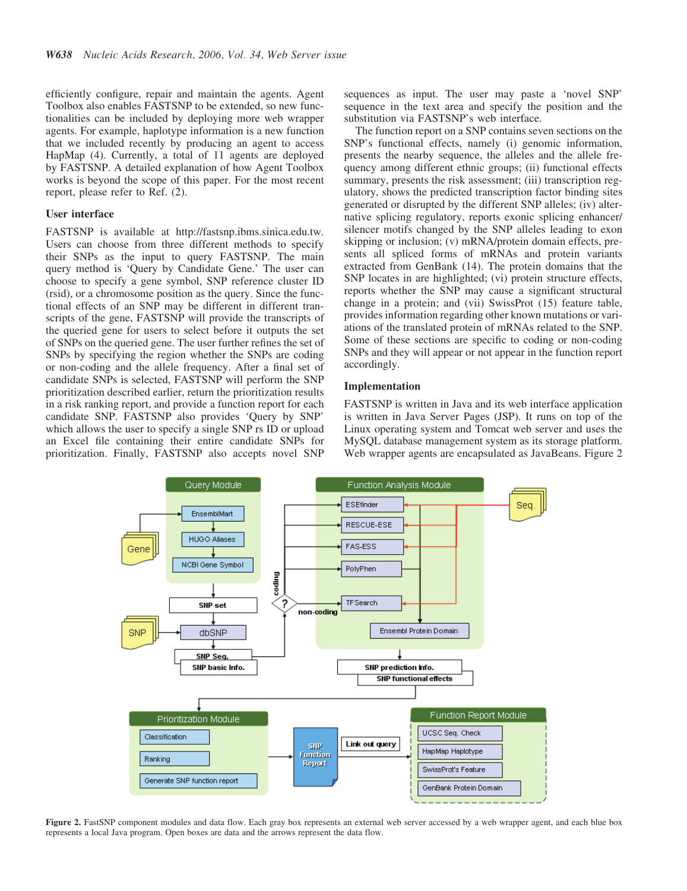efficiently configure, repair and maintain the agents. Agent Toolbox also enables FASTSNP to be extended, so new functionalities can be included by deploying more web wrapper agents. For example, haplotype information is a new function that we included recently by producing an agent to access HapMap (4). Currently, a total of 11 agents are deployed by FASTSNP. A detailed explanation of how Agent Toolbox works is beyond the scope of this paper. For the most recent report, please refer to Ref. (2).

#### User interface

FASTSNP is available at http://fastsnp.ibms.sinica.edu.tw. Users can choose from three different methods to specify their SNPs as the input to query FASTSNP. The main query method is 'Query by Candidate Gene.' The user can choose to specify a gene symbol, SNP reference cluster ID (rsid), or a chromosome position as the query. Since the functional effects of an SNP may be different in different transcripts of the gene, FASTSNP will provide the transcripts of the queried gene for users to select before it outputs the set of SNPs on the queried gene. The user further refines the set of SNPs by specifying the region whether the SNPs are coding or non-coding and the allele frequency. After a final set of candidate SNPs is selected, FASTSNP will perform the SNP prioritization described earlier, return the prioritization results in a risk ranking report, and provide a function report for each candidate SNP. FASTSNP also provides 'Query by SNP' which allows the user to specify a single SNP rs ID or upload an Excel file containing their entire candidate SNPs for prioritization. Finally, FASTSNP also accepts novel SNP

sequences as input. The user may paste a 'novel SNP' sequence in the text area and specify the position and the substitution via FASTSNP's web interface.

The function report on a SNP contains seven sections on the SNP's functional effects, namely (i) genomic information, presents the nearby sequence, the alleles and the allele frequency among different ethnic groups; (ii) functional effects summary, presents the risk assessment; (iii) transcription regulatory, shows the predicted transcription factor binding sites generated or disrupted by the different SNP alleles; (iv) alternative splicing regulatory, reports exonic splicing enhancer/ silencer motifs changed by the SNP alleles leading to exon skipping or inclusion; (v) mRNA/protein domain effects, presents all spliced forms of mRNAs and protein variants extracted from GenBank (14). The protein domains that the SNP locates in are highlighted; (vi) protein structure effects, reports whether the SNP may cause a significant structural change in a protein; and (vii) SwissProt (15) feature table, provides information regarding other known mutations or variations of the translated protein of mRNAs related to the SNP. Some of these sections are specific to coding or non-coding SNPs and they will appear or not appear in the function report accordingly.

## Implementation

FASTSNP is written in Java and its web interface application is written in Java Server Pages (JSP). It runs on top of the Linux operating system and Tomcat web server and uses the MySQL database management system as its storage platform. Web wrapper agents are encapsulated as JavaBeans. Figure 2



Figure 2. FastSNP component modules and data flow. Each gray box represents an external web server accessed by a web wrapper agent, and each blue box represents a local Java program. Open boxes are data and the arrows represent the data flow.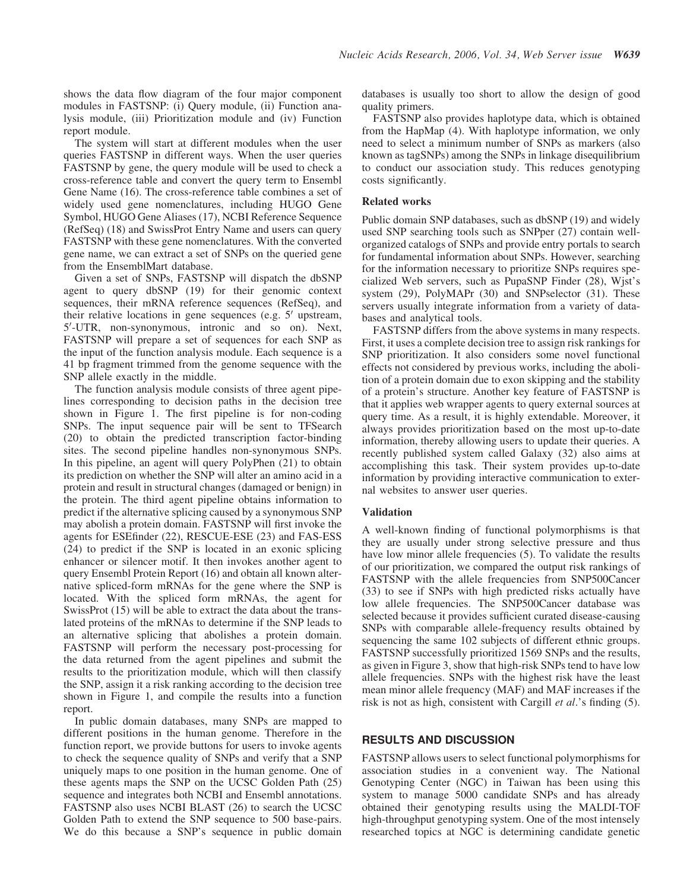shows the data flow diagram of the four major component modules in FASTSNP: (i) Query module, (ii) Function analysis module, (iii) Prioritization module and (iv) Function report module.

The system will start at different modules when the user queries FASTSNP in different ways. When the user queries FASTSNP by gene, the query module will be used to check a cross-reference table and convert the query term to Ensembl Gene Name (16). The cross-reference table combines a set of widely used gene nomenclatures, including HUGO Gene Symbol, HUGO Gene Aliases (17), NCBI Reference Sequence (RefSeq) (18) and SwissProt Entry Name and users can query FASTSNP with these gene nomenclatures. With the converted gene name, we can extract a set of SNPs on the queried gene from the EnsemblMart database.

Given a set of SNPs, FASTSNP will dispatch the dbSNP agent to query dbSNP (19) for their genomic context sequences, their mRNA reference sequences (RefSeq), and their relative locations in gene sequences (e.g.  $5'$  upstream, 5'-UTR, non-synonymous, intronic and so on). Next, FASTSNP will prepare a set of sequences for each SNP as the input of the function analysis module. Each sequence is a 41 bp fragment trimmed from the genome sequence with the SNP allele exactly in the middle.

The function analysis module consists of three agent pipelines corresponding to decision paths in the decision tree shown in Figure 1. The first pipeline is for non-coding SNPs. The input sequence pair will be sent to TFSearch (20) to obtain the predicted transcription factor-binding sites. The second pipeline handles non-synonymous SNPs. In this pipeline, an agent will query PolyPhen (21) to obtain its prediction on whether the SNP will alter an amino acid in a protein and result in structural changes (damaged or benign) in the protein. The third agent pipeline obtains information to predict if the alternative splicing caused by a synonymous SNP may abolish a protein domain. FASTSNP will first invoke the agents for ESEfinder (22), RESCUE-ESE (23) and FAS-ESS (24) to predict if the SNP is located in an exonic splicing enhancer or silencer motif. It then invokes another agent to query Ensembl Protein Report (16) and obtain all known alternative spliced-form mRNAs for the gene where the SNP is located. With the spliced form mRNAs, the agent for SwissProt (15) will be able to extract the data about the translated proteins of the mRNAs to determine if the SNP leads to an alternative splicing that abolishes a protein domain. FASTSNP will perform the necessary post-processing for the data returned from the agent pipelines and submit the results to the prioritization module, which will then classify the SNP, assign it a risk ranking according to the decision tree shown in Figure 1, and compile the results into a function report.

In public domain databases, many SNPs are mapped to different positions in the human genome. Therefore in the function report, we provide buttons for users to invoke agents to check the sequence quality of SNPs and verify that a SNP uniquely maps to one position in the human genome. One of these agents maps the SNP on the UCSC Golden Path (25) sequence and integrates both NCBI and Ensembl annotations. FASTSNP also uses NCBI BLAST (26) to search the UCSC Golden Path to extend the SNP sequence to 500 base-pairs. We do this because a SNP's sequence in public domain

databases is usually too short to allow the design of good quality primers.

FASTSNP also provides haplotype data, which is obtained from the HapMap (4). With haplotype information, we only need to select a minimum number of SNPs as markers (also known as tagSNPs) among the SNPs in linkage disequilibrium to conduct our association study. This reduces genotyping costs significantly.

### Related works

Public domain SNP databases, such as dbSNP (19) and widely used SNP searching tools such as SNPper (27) contain wellorganized catalogs of SNPs and provide entry portals to search for fundamental information about SNPs. However, searching for the information necessary to prioritize SNPs requires specialized Web servers, such as PupaSNP Finder (28), Wjst's system (29), PolyMAPr (30) and SNPselector (31). These servers usually integrate information from a variety of databases and analytical tools.

FASTSNP differs from the above systems in many respects. First, it uses a complete decision tree to assign risk rankings for SNP prioritization. It also considers some novel functional effects not considered by previous works, including the abolition of a protein domain due to exon skipping and the stability of a protein's structure. Another key feature of FASTSNP is that it applies web wrapper agents to query external sources at query time. As a result, it is highly extendable. Moreover, it always provides prioritization based on the most up-to-date information, thereby allowing users to update their queries. A recently published system called Galaxy (32) also aims at accomplishing this task. Their system provides up-to-date information by providing interactive communication to external websites to answer user queries.

#### Validation

A well-known finding of functional polymorphisms is that they are usually under strong selective pressure and thus have low minor allele frequencies (5). To validate the results of our prioritization, we compared the output risk rankings of FASTSNP with the allele frequencies from SNP500Cancer (33) to see if SNPs with high predicted risks actually have low allele frequencies. The SNP500Cancer database was selected because it provides sufficient curated disease-causing SNPs with comparable allele-frequency results obtained by sequencing the same 102 subjects of different ethnic groups. FASTSNP successfully prioritized 1569 SNPs and the results, as given in Figure 3, show that high-risk SNPs tend to have low allele frequencies. SNPs with the highest risk have the least mean minor allele frequency (MAF) and MAF increases if the risk is not as high, consistent with Cargill et al.'s finding (5).

# RESULTS AND DISCUSSION

FASTSNP allows users to select functional polymorphisms for association studies in a convenient way. The National Genotyping Center (NGC) in Taiwan has been using this system to manage 5000 candidate SNPs and has already obtained their genotyping results using the MALDI-TOF high-throughput genotyping system. One of the most intensely researched topics at NGC is determining candidate genetic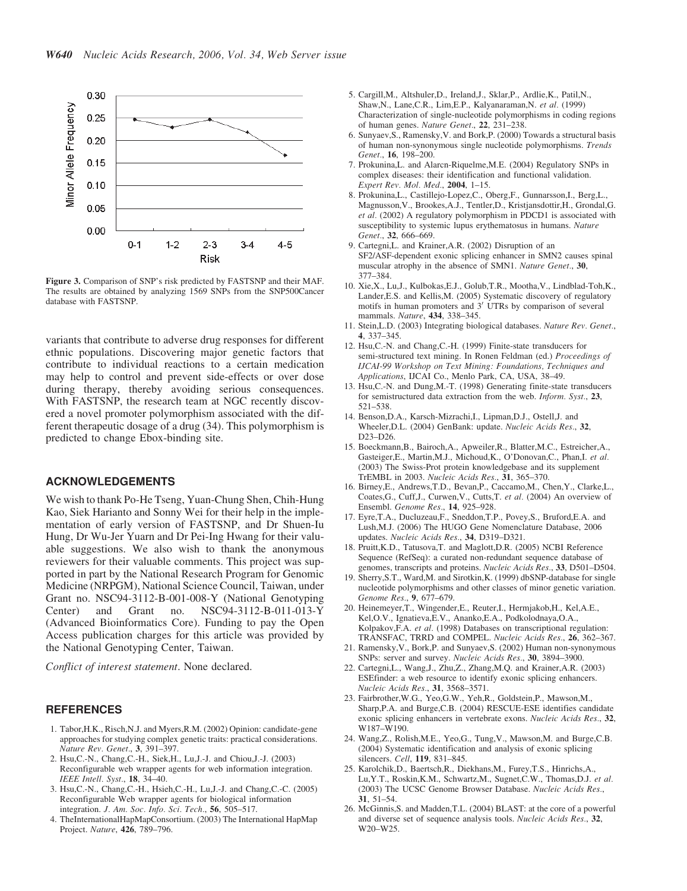

Figure 3. Comparison of SNP's risk predicted by FASTSNP and their MAF. The results are obtained by analyzing 1569 SNPs from the SNP500Cancer database with FASTSNP.

variants that contribute to adverse drug responses for different ethnic populations. Discovering major genetic factors that contribute to individual reactions to a certain medication may help to control and prevent side-effects or over dose during therapy, thereby avoiding serious consequences. With FASTSNP, the research team at NGC recently discovered a novel promoter polymorphism associated with the different therapeutic dosage of a drug (34). This polymorphism is predicted to change Ebox-binding site.

## ACKNOWLEDGEMENTS

We wish to thank Po-He Tseng, Yuan-Chung Shen, Chih-Hung Kao, Siek Harianto and Sonny Wei for their help in the implementation of early version of FASTSNP, and Dr Shuen-Iu Hung, Dr Wu-Jer Yuarn and Dr Pei-Ing Hwang for their valuable suggestions. We also wish to thank the anonymous reviewers for their valuable comments. This project was supported in part by the National Research Program for Genomic Medicine (NRPGM), National Science Council, Taiwan, under Grant no. NSC94-3112-B-001-008-Y (National Genotyping Center) and Grant no. NSC94-3112-B-011-013-Y (Advanced Bioinformatics Core). Funding to pay the Open Access publication charges for this article was provided by the National Genotyping Center, Taiwan.

Conflict of interest statement. None declared.

#### **REFERENCES**

- 1. Tabor,H.K., Risch,N.J. and Myers,R.M. (2002) Opinion: candidate-gene approaches for studying complex genetic traits: practical considerations. Nature Rev. Genet., 3, 391–397.
- 2. Hsu,C.-N., Chang,C.-H., Siek,H., Lu,J.-J. and Chiou,J.-J. (2003) Reconfigurable web wrapper agents for web information integration. IEEE Intell. Syst., 18, 34–40.
- 3. Hsu,C.-N., Chang,C.-H., Hsieh,C.-H., Lu,J.-J. and Chang,C.-C. (2005) Reconfigurable Web wrapper agents for biological information integration. J. Am. Soc. Info. Sci. Tech., 56, 505–517.
- 4. TheInternationalHapMapConsortium. (2003) The International HapMap Project. Nature, 426, 789–796.
- 5. Cargill,M., Altshuler,D., Ireland,J., Sklar,P., Ardlie,K., Patil,N., Shaw, N., Lane, C.R., Lim, E.P., Kalyanaraman, N. et al. (1999) Characterization of single-nucleotide polymorphisms in coding regions of human genes. Nature Genet., 22, 231–238.
- 6. Sunyaev,S., Ramensky,V. and Bork,P. (2000) Towards a structural basis of human non-synonymous single nucleotide polymorphisms. Trends Genet. **16**, 198–200.
- 7. Prokunina,L. and Alarcn-Riquelme,M.E. (2004) Regulatory SNPs in complex diseases: their identification and functional validation. Expert Rev. Mol. Med., 2004, 1–15.
- 8. Prokunina,L., Castillejo-Lopez,C., Oberg,F., Gunnarsson,I., Berg,L., Magnusson,V., Brookes,A.J., Tentler,D., Kristjansdottir,H., Grondal,G. et al. (2002) A regulatory polymorphism in PDCD1 is associated with susceptibility to systemic lupus erythematosus in humans. Nature Genet., 32, 666–669.
- 9. Cartegni,L. and Krainer,A.R. (2002) Disruption of an SF2/ASF-dependent exonic splicing enhancer in SMN2 causes spinal muscular atrophy in the absence of SMN1. Nature Genet., 30, 377–384.
- 10. Xie,X., Lu,J., Kulbokas,E.J., Golub,T.R., Mootha,V., Lindblad-Toh,K., Lander,E.S. and Kellis,M. (2005) Systematic discovery of regulatory motifs in human promoters and  $3'$  UTRs by comparison of several mammals. Nature, 434, 338–345.
- 11. Stein,L.D. (2003) Integrating biological databases. Nature Rev. Genet., 4, 337–345.
- 12. Hsu,C.-N. and Chang,C.-H. (1999) Finite-state transducers for semi-structured text mining. In Ronen Feldman (ed.) Proceedings of IJCAI-99 Workshop on Text Mining: Foundations, Techniques and Applications, IJCAI Co., Menlo Park, CA, USA, 38–49.
- 13. Hsu,C.-N. and Dung,M.-T. (1998) Generating finite-state transducers for semistructured data extraction from the web. Inform. Syst., 23, 521–538.
- 14. Benson,D.A., Karsch-Mizrachi,I., Lipman,D.J., Ostell,J. and Wheeler,D.L. (2004) GenBank: update. Nucleic Acids Res., 32, D23–D26.
- 15. Boeckmann,B., Bairoch,A., Apweiler,R., Blatter,M.C., Estreicher,A., Gasteiger,E., Martin,M.J., Michoud,K., O'Donovan,C., Phan,I. et al. (2003) The Swiss-Prot protein knowledgebase and its supplement TrEMBL in 2003. Nucleic Acids Res., 31, 365–370.
- 16. Birney,E., Andrews,T.D., Bevan,P., Caccamo,M., Chen,Y., Clarke,L., Coates,G., Cuff,J., Curwen,V., Cutts,T. et al. (2004) An overview of Ensembl. Genome Res., 14, 925–928.
- 17. Eyre,T.A., Ducluzeau,F., Sneddon,T.P., Povey,S., Bruford,E.A. and Lush,M.J. (2006) The HUGO Gene Nomenclature Database, 2006 updates. Nucleic Acids Res., 34, D319–D321.
- 18. Pruitt,K.D., Tatusova,T. and Maglott,D.R. (2005) NCBI Reference Sequence (RefSeq): a curated non-redundant sequence database of genomes, transcripts and proteins. Nucleic Acids Res., 33, D501–D504.
- 19. Sherry,S.T., Ward,M. and Sirotkin,K. (1999) dbSNP-database for single nucleotide polymorphisms and other classes of minor genetic variation. Genome Res., 9, 677–679.
- 20. Heinemeyer,T., Wingender,E., Reuter,I., Hermjakob,H., Kel,A.E., Kel,O.V., Ignatieva,E.V., Ananko,E.A., Podkolodnaya,O.A., Kolpakov,F.A. et al. (1998) Databases on transcriptional regulation: TRANSFAC, TRRD and COMPEL. Nucleic Acids Res., 26, 362–367.
- 21. Ramensky,V., Bork,P. and Sunyaev,S. (2002) Human non-synonymous SNPs: server and survey. Nucleic Acids Res., 30, 3894–3900.
- 22. Cartegni,L., Wang,J., Zhu,Z., Zhang,M.Q. and Krainer,A.R. (2003) ESEfinder: a web resource to identify exonic splicing enhancers. Nucleic Acids Res., 31, 3568–3571.
- 23. Fairbrother,W.G., Yeo,G.W., Yeh,R., Goldstein,P., Mawson,M., Sharp,P.A. and Burge,C.B. (2004) RESCUE-ESE identifies candidate exonic splicing enhancers in vertebrate exons. Nucleic Acids Res., 32, W187–W190.
- 24. Wang,Z., Rolish,M.E., Yeo,G., Tung,V., Mawson,M. and Burge,C.B. (2004) Systematic identification and analysis of exonic splicing silencers. Cell, 119, 831–845.
- 25. Karolchik,D., Baertsch,R., Diekhans,M., Furey,T.S., Hinrichs,A., Lu, Y.T., Roskin, K.M., Schwartz, M., Sugnet, C.W., Thomas, D.J. et al. (2003) The UCSC Genome Browser Database. Nucleic Acids Res., 31, 51–54.
- 26. McGinnis,S. and Madden,T.L. (2004) BLAST: at the core of a powerful and diverse set of sequence analysis tools. Nucleic Acids Res., 32, W20–W25.